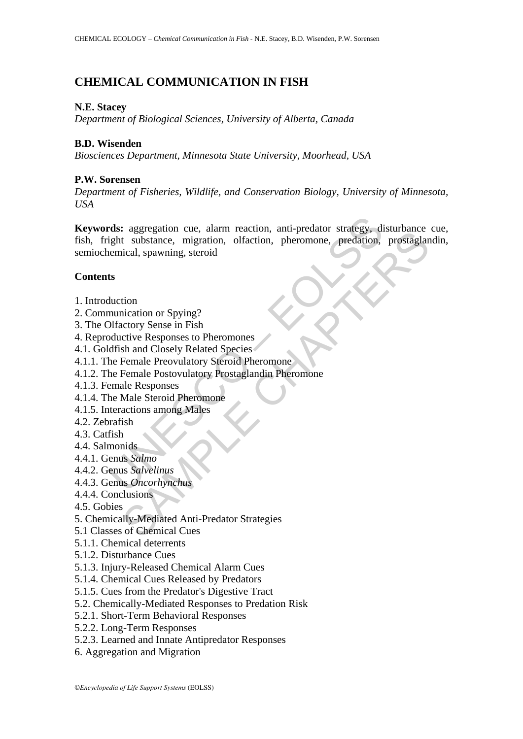# **CHEMICAL COMMUNICATION IN FISH**

## **N.E. Stacey**

*Department of Biological Sciences, University of Alberta, Canada*

## **B.D. Wisenden**

*Biosciences Department, Minnesota State University, Moorhead, USA*

## **P.W. Sorensen**

*Department of Fisheries, Wildlife, and Conservation Biology, University of Minnesota, USA*

rds: aggregation cue, alarm reaction, anti-predator strategy, dight substance, migration, olfaction, pheromone, predation,<br>temical, spawning, steroid<br>state therminical of represents the duction of Spying?<br>Difactory Sense i Cagographor cat, anam racation, and pleadation categy, usuano<br>translation control in the set of the set of the set of the set of the set of the set of the set of the set of<br>the set of spawning, steroid<br>tion<br>tion<br>tion to Sp **Keywords:** aggregation cue, alarm reaction, anti-predator strategy, disturbance cue, fish, fright substance, migration, olfaction, pheromone, predation, prostaglandin, semiochemical, spawning, steroid

## **Contents**

- 1. Introduction
- 2. Communication or Spying?
- 3. The Olfactory Sense in Fish
- 4. Reproductive Responses to Pheromones
- 4.1. Goldfish and Closely Related Species
- 4.1.1. The Female Preovulatory Steroid Pheromone
- 4.1.2. The Female Postovulatory Prostaglandin Pheromone
- 4.1.3. Female Responses
- 4.1.4. The Male Steroid Pheromone
- 4.1.5. Interactions among Males
- 4.2. Zebrafish
- 4.3. Catfish
- 4.4. Salmonids
- 4.4.1. Genus *Salmo*
- 4.4.2. Genus *Salvelinus*
- 4.4.3. Genus *Oncorhynchus*
- 4.4.4. Conclusions
- 4.5. Gobies
- 5. Chemically-Mediated Anti-Predator Strategies
- 5.1 Classes of Chemical Cues
- 5.1.1. Chemical deterrents
- 5.1.2. Disturbance Cues
- 5.1.3. Injury-Released Chemical Alarm Cues
- 5.1.4. Chemical Cues Released by Predators
- 5.1.5. Cues from the Predator's Digestive Tract
- 5.2. Chemically-Mediated Responses to Predation Risk
- 5.2.1. Short-Term Behavioral Responses
- 5.2.2. Long-Term Responses
- 5.2.3. Learned and Innate Antipredator Responses
- 6. Aggregation and Migration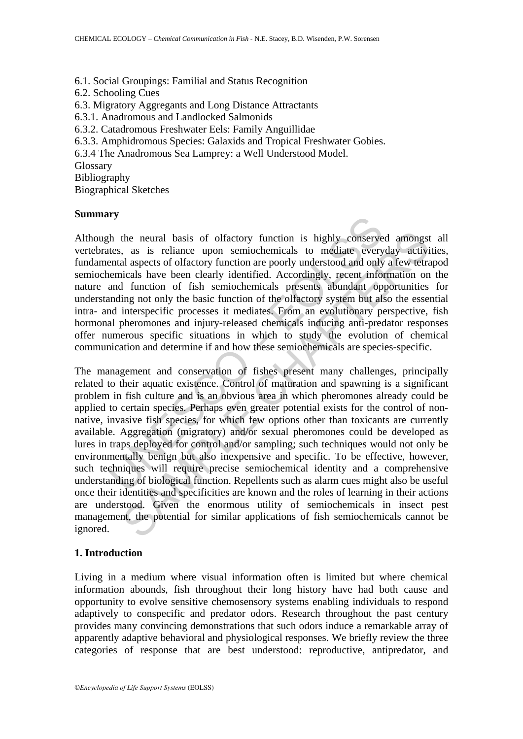6.1. Social Groupings: Familial and Status Recognition 6.2. Schooling Cues 6.3. Migratory Aggregants and Long Distance Attractants 6.3.1. Anadromous and Landlocked Salmonids 6.3.2. Catadromous Freshwater Eels: Family Anguillidae 6.3.3. Amphidromous Species: Galaxids and Tropical Freshwater Gobies. 6.3.4 The Anadromous Sea Lamprey: a Well Understood Model. Glossary Bibliography Biographical Sketches

#### **Summary**

Although the neural basis of olfactory function is highly conserved amongst all vertebrates, as is reliance upon semiochemicals to mediate everyday activities, fundamental aspects of olfactory function are poorly understood and only a few tetrapod semiochemicals have been clearly identified. Accordingly, recent information on the nature and function of fish semiochemicals presents abundant opportunities for understanding not only the basic function of the olfactory system but also the essential intra- and interspecific processes it mediates. From an evolutionary perspective, fish hormonal pheromones and injury-released chemicals inducing anti-predator responses offer numerous specific situations in which to study the evolution of chemical communication and determine if and how these semiochemicals are species-specific.

If the neural basis of olfactory function is highly conserve<br>tes, as is reliance upon semiochemicals to mediate every<br>ental aspects of olfactory function are poorly understood and only<br>hemicals have been clearly identified the neural basis of olfactory function is highly conserved amongst, as is reliance upon semiochemicals to mediate everyday activiated alsepts of olfactory function are porely understood and only a few tettar incials have b The management and conservation of fishes present many challenges, principally related to their aquatic existence. Control of maturation and spawning is a significant problem in fish culture and is an obvious area in which pheromones already could be applied to certain species. Perhaps even greater potential exists for the control of nonnative, invasive fish species, for which few options other than toxicants are currently available. Aggregation (migratory) and/or sexual pheromones could be developed as lures in traps deployed for control and/or sampling; such techniques would not only be environmentally benign but also inexpensive and specific. To be effective, however, such techniques will require precise semiochemical identity and a comprehensive understanding of biological function. Repellents such as alarm cues might also be useful once their identities and specificities are known and the roles of learning in their actions are understood. Given the enormous utility of semiochemicals in insect pest management, the potential for similar applications of fish semiochemicals cannot be ignored.

#### **1. Introduction**

Living in a medium where visual information often is limited but where chemical information abounds, fish throughout their long history have had both cause and opportunity to evolve sensitive chemosensory systems enabling individuals to respond adaptively to conspecific and predator odors. Research throughout the past century provides many convincing demonstrations that such odors induce a remarkable array of apparently adaptive behavioral and physiological responses. We briefly review the three categories of response that are best understood: reproductive, antipredator, and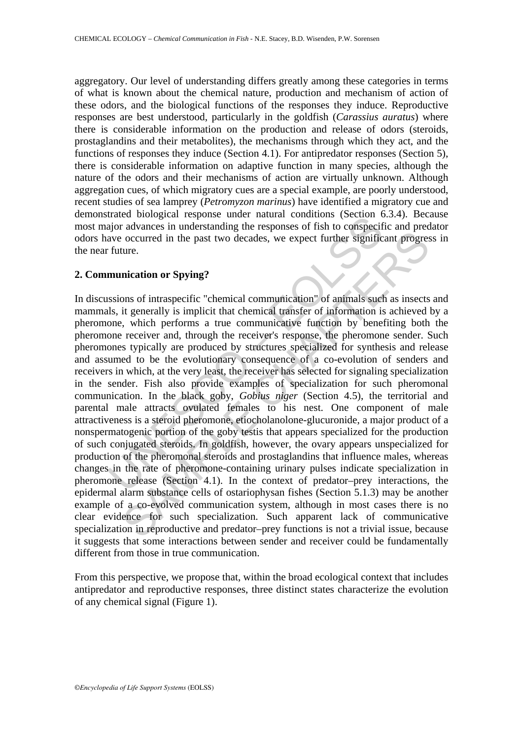aggregatory. Our level of understanding differs greatly among these categories in terms of what is known about the chemical nature, production and mechanism of action of these odors, and the biological functions of the responses they induce. Reproductive responses are best understood, particularly in the goldfish (*Carassius auratus*) where there is considerable information on the production and release of odors (steroids, prostaglandins and their metabolites), the mechanisms through which they act, and the functions of responses they induce (Section 4.1). For antipredator responses (Section 5), there is considerable information on adaptive function in many species, although the nature of the odors and their mechanisms of action are virtually unknown. Although aggregation cues, of which migratory cues are a special example, are poorly understood, recent studies of sea lamprey (*Petromyzon marinus*) have identified a migratory cue and demonstrated biological response under natural conditions (Section 6.3.4). Because most major advances in understanding the responses of fish to conspecific and predator odors have occurred in the past two decades, we expect further significant progress in the near future.

### **2. Communication or Spying?**

The consideration of the photometric since the control of the photometric in the photometric are occurred in the past two decades, we expect further signific future.<br>
The consideration or Spying?<br>
Sistions of intraspectifi occurred in the past two decades, we expect further significant progres<br>ture.<br>
nication or Spying?<br>
noso of intraspectific "chemical communication" of animals such as insects<br>
it generally is implicit that chemical transf In discussions of intraspecific "chemical communication" of animals such as insects and mammals, it generally is implicit that chemical transfer of information is achieved by a pheromone, which performs a true communicative function by benefiting both the pheromone receiver and, through the receiver's response, the pheromone sender. Such pheromones typically are produced by structures specialized for synthesis and release and assumed to be the evolutionary consequence of a co-evolution of senders and receivers in which, at the very least, the receiver has selected for signaling specialization in the sender. Fish also provide examples of specialization for such pheromonal communication. In the black goby, *Gobius niger* (Section 4.5), the territorial and parental male attracts ovulated females to his nest. One component of male attractiveness is a steroid pheromone, etiocholanolone-glucuronide, a major product of a nonspermatogenic portion of the goby testis that appears specialized for the production of such conjugated steroids. In goldfish, however, the ovary appears unspecialized for production of the pheromonal steroids and prostaglandins that influence males, whereas changes in the rate of pheromone-containing urinary pulses indicate specialization in pheromone release (Section 4.1). In the context of predator–prey interactions, the epidermal alarm substance cells of ostariophysan fishes (Section 5.1.3) may be another example of a co-evolved communication system, although in most cases there is no clear evidence for such specialization. Such apparent lack of communicative specialization in reproductive and predator–prey functions is not a trivial issue, because it suggests that some interactions between sender and receiver could be fundamentally different from those in true communication.

From this perspective, we propose that, within the broad ecological context that includes antipredator and reproductive responses, three distinct states characterize the evolution of any chemical signal (Figure 1).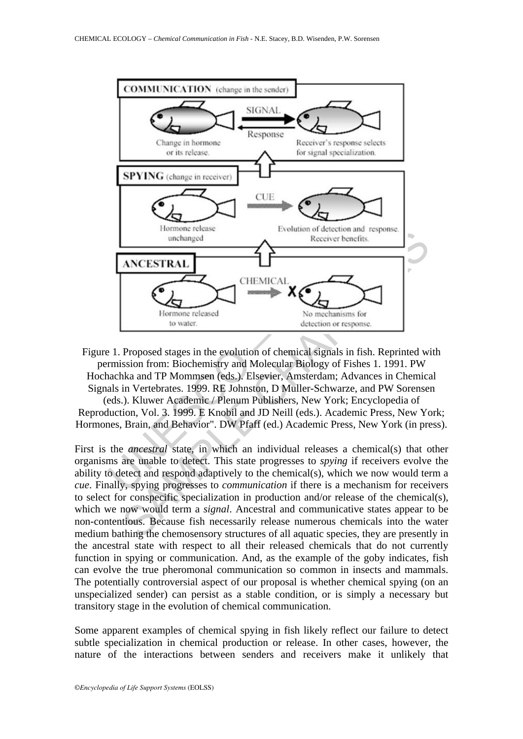

Figure 1. Proposed stages in the evolution of chemical signals in fish. Reprinted with permission from: Biochemistry and Molecular Biology of Fishes 1. 1991. PW Hochachka and TP Mommsen (eds.). Elsevier, Amsterdam; Advances in Chemical Signals in Vertebrates. 1999. RE Johnston, D Muller-Schwarze, and PW Sorensen (eds.). Kluwer Academic / Plenum Publishers, New York; Encyclopedia of

Reproduction, Vol. 3. 1999. E Knobil and JD Neill (eds.). Academic Press, New York; Hormones, Brain, and Behavior". DW Pfaff (ed.) Academic Press, New York (in press).

First is the *ancestral* state, in which an individual releases a chemical(s) that other organisms are unable to detect. This state progresses to *spying* if receivers evolve the ability to detect and respond adaptively to the chemical(s), which we now would term a *cue*. Finally, spying progresses to *communication* if there is a mechanism for receivers to select for conspecific specialization in production and/or release of the chemical(s), which we now would term a *signal*. Ancestral and communicative states appear to be non-contentious. Because fish necessarily release numerous chemicals into the water medium bathing the chemosensory structures of all aquatic species, they are presently in the ancestral state with respect to all their released chemicals that do not currently function in spying or communication. And, as the example of the goby indicates, fish can evolve the true pheromonal communication so common in insects and mammals. The potentially controversial aspect of our proposal is whether chemical spying (on an unspecialized sender) can persist as a stable condition, or is simply a necessary but transitory stage in the evolution of chemical communication.

Some apparent examples of chemical spying in fish likely reflect our failure to detect subtle specialization in chemical production or release. In other cases, however, the nature of the interactions between senders and receivers make it unlikely that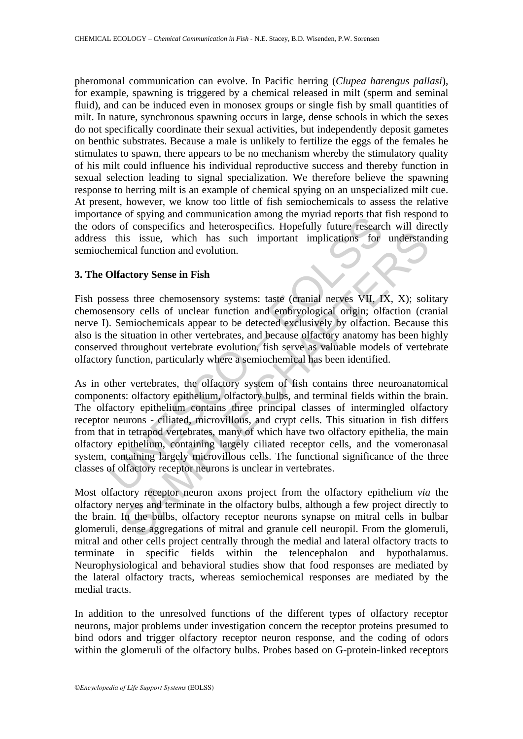pheromonal communication can evolve. In Pacific herring (*Clupea harengus pallasi*), for example, spawning is triggered by a chemical released in milt (sperm and seminal fluid), and can be induced even in monosex groups or single fish by small quantities of milt. In nature, synchronous spawning occurs in large, dense schools in which the sexes do not specifically coordinate their sexual activities, but independently deposit gametes on benthic substrates. Because a male is unlikely to fertilize the eggs of the females he stimulates to spawn, there appears to be no mechanism whereby the stimulatory quality of his milt could influence his individual reproductive success and thereby function in sexual selection leading to signal specialization. We therefore believe the spawning response to herring milt is an example of chemical spying on an unspecialized milt cue. At present, however, we know too little of fish semiochemicals to assess the relative importance of spying and communication among the myriad reports that fish respond to the odors of conspecifics and heterospecifics. Hopefully future research will directly address this issue, which has such important implications for understanding semiochemical function and evolution.

## **3. The Olfactory Sense in Fish**

Fish possess three chemosensory systems: taste (cranial nerves VII, IX, X); solitary chemosensory cells of unclear function and embryological origin; olfaction (cranial nerve I). Semiochemicals appear to be detected exclusively by olfaction. Because this also is the situation in other vertebrates, and because olfactory anatomy has been highly conserved throughout vertebrate evolution, fish serve as valuable models of vertebrate olfactory function, particularly where a semiochemical has been identified.

med to spyring and communication aniong the myriad reports that<br>the or system are only and communication and heat the state this issue, which has such important implications for<br>this issue, which has such important implica is issue, which has such important implications for understant<br>in this issue, which has such important implications for understant<br>ical function and evolution.<br>actory Sense in Fish<br>s we relate of undera function and emphys As in other vertebrates, the olfactory system of fish contains three neuroanatomical components: olfactory epithelium, olfactory bulbs, and terminal fields within the brain. The olfactory epithelium contains three principal classes of intermingled olfactory receptor neurons - ciliated, microvillous, and crypt cells. This situation in fish differs from that in tetrapod vertebrates, many of which have two olfactory epithelia, the main olfactory epithelium, containing largely ciliated receptor cells, and the vomeronasal system, containing largely microvillous cells. The functional significance of the three classes of olfactory receptor neurons is unclear in vertebrates.

Most olfactory receptor neuron axons project from the olfactory epithelium *via* the olfactory nerves and terminate in the olfactory bulbs, although a few project directly to the brain. In the bulbs, olfactory receptor neurons synapse on mitral cells in bulbar glomeruli, dense aggregations of mitral and granule cell neuropil. From the glomeruli, mitral and other cells project centrally through the medial and lateral olfactory tracts to terminate in specific fields within the telencephalon and hypothalamus. Neurophysiological and behavioral studies show that food responses are mediated by the lateral olfactory tracts, whereas semiochemical responses are mediated by the medial tracts.

In addition to the unresolved functions of the different types of olfactory receptor neurons, major problems under investigation concern the receptor proteins presumed to bind odors and trigger olfactory receptor neuron response, and the coding of odors within the glomeruli of the olfactory bulbs. Probes based on G-protein-linked receptors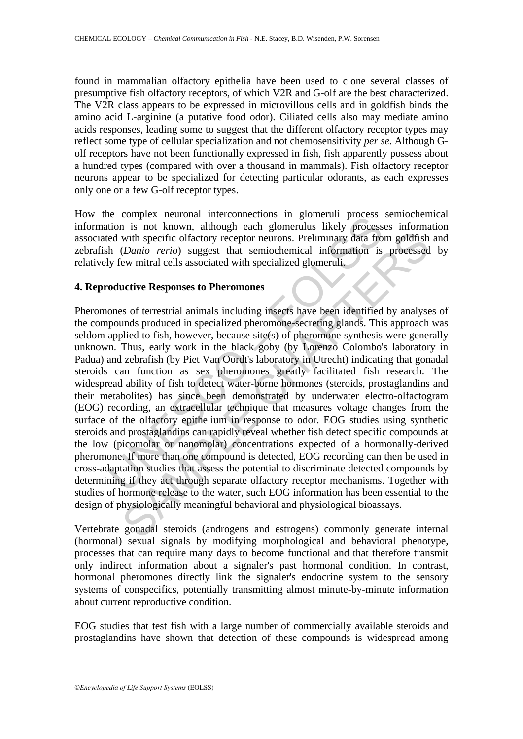found in mammalian olfactory epithelia have been used to clone several classes of presumptive fish olfactory receptors, of which V2R and G-olf are the best characterized. The V2R class appears to be expressed in microvillous cells and in goldfish binds the amino acid L-arginine (a putative food odor). Ciliated cells also may mediate amino acids responses, leading some to suggest that the different olfactory receptor types may reflect some type of cellular specialization and not chemosensitivity *per se*. Although Golf receptors have not been functionally expressed in fish, fish apparently possess about a hundred types (compared with over a thousand in mammals). Fish olfactory receptor neurons appear to be specialized for detecting particular odorants, as each expresses only one or a few G-olf receptor types.

How the complex neuronal interconnections in glomeruli process semiochemical information is not known, although each glomerulus likely processes information associated with specific olfactory receptor neurons. Preliminary data from goldfish and zebrafish (*Danio rerio*) suggest that semiochemical information is processed by relatively few mitral cells associated with specialized glomeruli.

### **4. Reproductive Responses to Pheromones**

is complex memotion intercollentions in goinering thoses<br>tion is not known, although each glomerulus likely processed with specific olfactory receptor neurons. Preliminary data fro<br>h (*Danio rerio*) suggest that semiochemi with specific offactory receptor neurons. Preliminary data from goldfish (*Danio rerio*) suggest that semiochemical information is processed<br>ew mitral cells associated with specialized glomeruli,<br>active **Responses to Phero** Pheromones of terrestrial animals including insects have been identified by analyses of the compounds produced in specialized pheromone-secreting glands. This approach was seldom applied to fish, however, because site(s) of pheromone synthesis were generally unknown. Thus, early work in the black goby (by Lorenzo Colombo's laboratory in Padua) and zebrafish (by Piet Van Oordt's laboratory in Utrecht) indicating that gonadal steroids can function as sex pheromones greatly facilitated fish research. The widespread ability of fish to detect water-borne hormones (steroids, prostaglandins and their metabolites) has since been demonstrated by underwater electro-olfactogram (EOG) recording, an extracellular technique that measures voltage changes from the surface of the olfactory epithelium in response to odor. EOG studies using synthetic steroids and prostaglandins can rapidly reveal whether fish detect specific compounds at the low (picomolar or nanomolar) concentrations expected of a hormonally-derived pheromone. If more than one compound is detected, EOG recording can then be used in cross-adaptation studies that assess the potential to discriminate detected compounds by determining if they act through separate olfactory receptor mechanisms. Together with studies of hormone release to the water, such EOG information has been essential to the design of physiologically meaningful behavioral and physiological bioassays.

Vertebrate gonadal steroids (androgens and estrogens) commonly generate internal (hormonal) sexual signals by modifying morphological and behavioral phenotype, processes that can require many days to become functional and that therefore transmit only indirect information about a signaler's past hormonal condition. In contrast, hormonal pheromones directly link the signaler's endocrine system to the sensory systems of conspecifics, potentially transmitting almost minute-by-minute information about current reproductive condition.

EOG studies that test fish with a large number of commercially available steroids and prostaglandins have shown that detection of these compounds is widespread among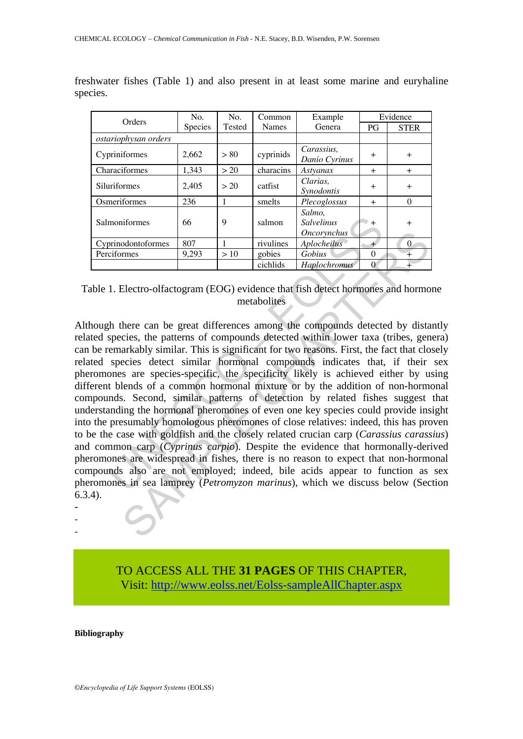| Orders                      | No.     | N <sub>O</sub> . | Common       | Example                                                  | Evidence       |             |
|-----------------------------|---------|------------------|--------------|----------------------------------------------------------|----------------|-------------|
|                             | Species | <b>Tested</b>    | <b>Names</b> | Genera                                                   | PG             | <b>STER</b> |
| <i>ostariophysan orders</i> |         |                  |              |                                                          |                |             |
| Cypriniformes               | 2,662   | > 80             | cyprinids    | Carassius.<br>Danio Cyrinus                              | $^{+}$         | $+$         |
| Characiformes               | 1,343   | > 20             | characins    | Astyanax                                                 | $^{+}$         | $+$         |
| Siluriformes                | 2,405   | > 20             | catfist      | Clarias.<br>Synodontis                                   | $\overline{+}$ | $+$         |
| Osmeriformes                | 236     |                  | smelts       | Plecoglossus                                             | $+$            | $\Omega$    |
| Salmoniformes               | 66      | 9                | salmon       | Salmo.<br><b>Salvelinus</b><br><i><b>Oncorvnchus</b></i> | $\div$         | $^{+}$      |
| Cyprinodontoformes          | 807     |                  | rivulines    | Aplocheilus                                              | $\pm$          | $\Omega$    |
| Perciformes                 | 9,293   | >10              | gobies       | Gobius                                                   | $\Omega$       | $^{+}$      |
|                             |         |                  | cichlids     | <b>Haplochromus</b>                                      | $\Omega$       | $^{+}$      |

freshwater fishes (Table 1) and also present in at least some marine and euryhaline species.

Table 1. Electro-olfactogram (EOG) evidence that fish detect hormones and hormone metabolites

moniformes 66 9 salmon Salvelinus +<br>
prinodontoformes 807 1 rivulines  $Oneorphus$ <br>
ciclomes 9.293 > 10 gobies  $Aphilochelius$  0<br>
cichids  $Haplochromus$  0<br>
1. Electro-olfactogram (EOG) evidence that fish detect hormones<br>
the there can be gre Montoformes 807 11 rivulines *Aphochelus*<br>
The mest of the state of *Gobius*<br>
The state of *Gobius*<br>
Scholing and *CHAPTERS*<br>
Electro-olfactogram (EOG) evidence that fish detect hormones and hormones<br>
Electro-olfactogram Although there can be great differences among the compounds detected by distantly related species, the patterns of compounds detected within lower taxa (tribes, genera) can be remarkably similar. This is significant for two reasons. First, the fact that closely related species detect similar hormonal compounds indicates that, if their sex pheromones are species-specific, the specificity likely is achieved either by using different blends of a common hormonal mixture or by the addition of non-hormonal compounds. Second, similar patterns of detection by related fishes suggest that understanding the hormonal pheromones of even one key species could provide insight into the presumably homologous pheromones of close relatives: indeed, this has proven to be the case with goldfish and the closely related crucian carp (*Carassius carassius*) and common carp (*Cyprinus carpio*). Despite the evidence that hormonally-derived pheromones are widespread in fishes, there is no reason to expect that non-hormonal compounds also are not employed; indeed, bile acids appear to function as sex pheromones in sea lamprey (*Petromyzon marinus*), which we discuss below (Section 6.3.4). -

> TO ACCESS ALL THE **31 PAGES** OF THIS CHAPTER, Vis[it: http://www.eolss.net/Eolss-sampleAllChapter.aspx](https://www.eolss.net/ebooklib/sc_cart.aspx?File=E6-52-04-07)

**Bibliography** 

- -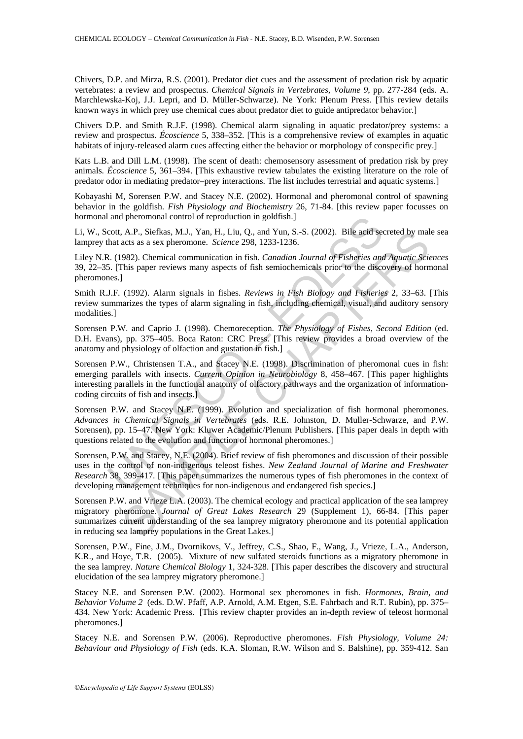Chivers, D.P. and Mirza, R.S. (2001). Predator diet cues and the assessment of predation risk by aquatic vertebrates: a review and prospectus. *Chemical Signals in Vertebrates, Volume 9*, pp. 277-284 (eds. A. Marchlewska-Koj, J.J. Lepri, and D. Müller-Schwarze). Ne York: Plenum Press. [This review details known ways in which prey use chemical cues about predator diet to guide antipredator behavior.]

Chivers D.P. and Smith R.J.F. (1998). Chemical alarm signaling in aquatic predator/prey systems: a review and prospectus. *Écoscience* 5, 338–352. [This is a comprehensive review of examples in aquatic habitats of injury-released alarm cues affecting either the behavior or morphology of conspecific prey.]

Kats L.B. and Dill L.M. (1998). The scent of death: chemosensory assessment of predation risk by prey animals. *Écoscience* 5, 361–394. [This exhaustive review tabulates the existing literature on the role of predator odor in mediating predator–prey interactions. The list includes terrestrial and aquatic systems.]

Kobayashi M, Sorensen P.W. and Stacey N.E. (2002). Hormonal and pheromonal control of spawning behavior in the goldfish. *Fish Physiology and Biochemistry* 26, 71-84. [this review paper focusses on hormonal and pheromonal control of reproduction in goldfish.]

Li, W., Scott, A.P., Siefkas, M.J., Yan, H., Liu, Q., and Yun, S.-S. (2002). Bile acid secreted by male sea lamprey that acts as a sex pheromone. *Science* 298, 1233-1236.

Liley N.R. (1982). Chemical communication in fish. *Canadian Journal of Fisheries and Aquatic Sciences* 39, 22–35. [This paper reviews many aspects of fish semiochemicals prior to the discovery of hormonal pheromones.]

Smith R.J.F. (1992). Alarm signals in fishes. *Reviews in Fish Biology and Fisheries* 2, 33–63. [This review summarizes the types of alarm signaling in fish, including chemical, visual, and auditory sensory modalities.]

Sorensen P.W. and Caprio J. (1998). Chemoreception. *The Physiology of Fishes, Second Edition* (ed. D.H. Evans), pp. 375–405. Boca Raton: CRC Press. [This review provides a broad overview of the anatomy and physiology of olfaction and gustation in fish.]

and pheromonal control of reproduction in goldfish.]<br>cott, A.P., Siefkas, M.J., Yan, H., Liu, Q., and Yun, S.-S. (2002). Bile acid see<br>hat acts as a sex pheromone. *Science* 298, 1233-1236.<br>R. (1982). Chemical communicatio A.P., SireRas, M.J., Yan, H., Liu, Q., and Yun, S.-S. (2002). Bile acid secreted by mal<br>acts as sex pheromone. *Science* 298, 1233-1236.<br>982). Chemical communication in fish. *Canadian Journal of Fisheries and Aquatic Sci* Sorensen P.W., Christensen T.A., and Stacey N.E. (1998). Discrimination of pheromonal cues in fish: emerging parallels with insects. *Current Opinion in Neurobiology* 8, 458–467. [This paper highlights interesting parallels in the functional anatomy of olfactory pathways and the organization of informationcoding circuits of fish and insects.]

Sorensen P.W. and Stacey N.E. (1999). Evolution and specialization of fish hormonal pheromones. *Advances in Chemical Signals in Vertebrates* (eds. R.E. Johnston, D. Muller-Schwarze, and P.W. Sorensen), pp. 15–47. New York: Kluwer Academic/Plenum Publishers. [This paper deals in depth with questions related to the evolution and function of hormonal pheromones.]

Sorensen, P.W. and Stacey, N.E. (2004). Brief review of fish pheromones and discussion of their possible uses in the control of non-indigenous teleost fishes. *New Zealand Journal of Marine and Freshwater Research* 38, 399-417. [This paper summarizes the numerous types of fish pheromones in the context of developing management techniques for non-indigenous and endangered fish species.]

Sorensen P.W. and Vrieze L.A. (2003). The chemical ecology and practical application of the sea lamprey migratory pheromone. *Journal of Great Lakes Research* 29 (Supplement 1), 66-84. [This paper summarizes current understanding of the sea lamprey migratory pheromone and its potential application in reducing sea lamprey populations in the Great Lakes.]

Sorensen, P.W., Fine, J.M., Dvornikovs, V., Jeffrey, C.S., Shao, F., Wang, J., Vrieze, L.A., Anderson, K.R., and Hoye, T.R. (2005). Mixture of new sulfated steroids functions as a migratory pheromone in the sea lamprey. *Nature Chemical Biology* 1, 324-328. [This paper describes the discovery and structural elucidation of the sea lamprey migratory pheromone.]

Stacey N.E. and Sorensen P.W. (2002). Hormonal sex pheromones in fish. *Hormones, Brain, and Behavior Volume 2* (eds. D.W. Pfaff, A.P. Arnold, A.M. Etgen, S.E. Fahrbach and R.T. Rubin), pp. 375– 434. New York: Academic Press. [This review chapter provides an in-depth review of teleost hormonal pheromones.]

Stacey N.E. and Sorensen P.W. (2006). Reproductive pheromones. *Fish Physiology, Volume 24: Behaviour and Physiology of Fish* (eds. K.A. Sloman, R.W. Wilson and S. Balshine), pp. 359-412. San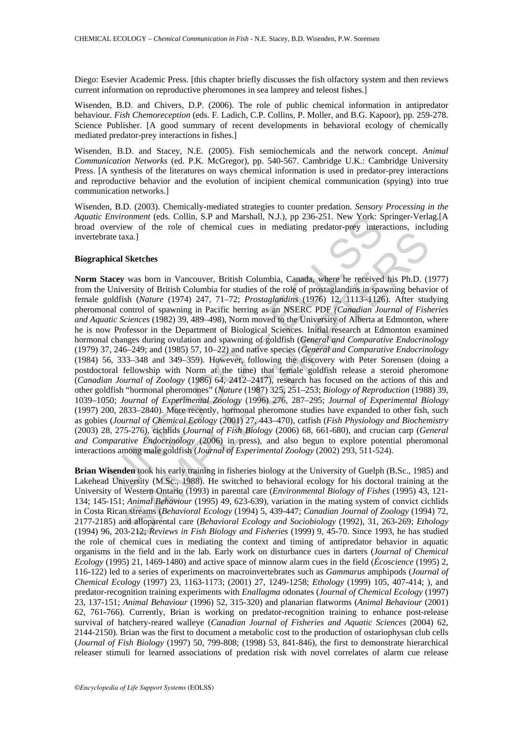Diego: Esevier Academic Press. [this chapter briefly discusses the fish olfactory system and then reviews current information on reproductive pheromones in sea lamprey and teleost fishes.]

Wisenden, B.D. and Chivers, D.P. (2006). The role of public chemical information in antipredator behaviour. *Fish Chemoreception* (eds. F. Ladich, C.P. Collins, P. Moller, and B.G. Kapoor), pp. 259-278. Science Publisher. [A good summary of recent developments in behavioral ecology of chemically mediated predator-prey interactions in fishes.]

Wisenden, B.D. and Stacey, N.E. (2005). Fish semiochemicals and the network concept. *Animal Communication Networks* (ed. P.K. McGregor), pp. 540-567. Cambridge U.K.: Cambridge University Press. [A synthesis of the literatures on ways chemical information is used in predator-prey interactions and reproductive behavior and the evolution of incipient chemical communication (spying) into true communication networks.]

Wisenden, B.D. (2003). Chemically-mediated strategies to counter predation. *Sensory Processing in the Aquatic Environment* (eds. Collin, S.P and Marshall, N.J.), pp 236-251. New York: Springer-Verlag*.*[A broad overview of the role of chemical cues in mediating predator-prey interactions, including invertebrate taxa.]

#### **Biographical Sketches**

Environment (eds. Collin, S.P and Marshall, N.J.), pp 236-251. New York: S<br>
retrieve of the role of chemical cues in mediating predator-prey interactive of the role of chemical cues in mediating predator-prey interactive axa.]<br>
Sketches<br>
was born in Vancouver, British Columbia, Canada, where he received his Ph.D. (1<br>
versity of British Columbia for studies of the role of prostaglandins in spawning behavis<br>
ish (Nature (1974) 247, 71–72; **Norm Stacey** was born in Vancouver, British Columbia, Canada, where he received his Ph.D. (1977) from the University of British Columbia for studies of the role of prostaglandins in spawning behavior of female goldfish (*Nature* (1974) 247, 71–72; *Prostaglandins* (1976) 12, 1113–1126). After studying pheromonal control of spawning in Pacific herring as an NSERC PDF *(Canadian Journal of Fisheries and Aquatic Sciences* (1982) 39, 489–498), Norm moved to the University of Alberta at Edmonton, where he is now Professor in the Department of Biological Sciences. Initial research at Edmonton examined hormonal changes during ovulation and spawning of goldfish (*General and Comparative Endocrinology* (1979) 37, 246–249; and (1985) 57, 10–22) and native species (*General and Comparative Endocrinology* (1984) 56, 333–348 and 349–359). However, following the discovery with Peter Sorensen (doing a postdoctoral fellowship with Norm at the time) that female goldfish release a steroid pheromone (*Canadian Journal of Zoology* (1986) 64, 2412–2417), research has focused on the actions of this and other goldfish "hormonal pheromones" (*Nature* (1987) 325, 251–253; *Biology of Reproduction* (1988) 39, 1039–1050; *Journal of Experimental Zoology* (1996) 276, 287–295; *Journal of Experimental Biology* (1997) 200, 2833–2840). More recently, hormonal pheromone studies have expanded to other fish, such as gobies (*Journal of Chemical Ecology* (2001) 27, 443–470), catfish (*Fish Physiology and Biochemistry* (2003) 28, 275-276), cichlids (*Journal of Fish Biology* (2006) 68, 661-680), and crucian carp (*General and Comparative Endocrinology* (2006) in press), and also begun to explore potential pheromonal interactions among male goldfish (*Journal of Experimental Zoology* (2002) 293, 511-524).

**Brian Wisenden** took his early training in fisheries biology at the University of Guelph (B.Sc., 1985) and Lakehead University (M.Sc., 1988). He switched to behavioral ecology for his doctoral training at the University of Western Ontario (1993) in parental care (*Environmental Biology of Fishes* (1995) 43, 121- 134; 145-151; *Animal Behaviour* (1995) 49, 623-639), variation in the mating system of convict cichlids in Costa Rican streams (*Behavioral Ecology* (1994) 5, 439-447; *Canadian Journal of Zoology* (1994) 72, 2177-2185) and alloparental care (*Behavioral Ecology and Sociobiology* (1992), 31, 263-269; *Ethology* (1994) 96, 203-212; *Reviews in Fish Biology and Fisheries* (1999) 9, 45-70. Since 1993, he has studied the role of chemical cues in mediating the context and timing of antipredator behavior in aquatic organisms in the field and in the lab. Early work on disturbance cues in darters (*Journal of Chemical Ecology* (1995) 21, 1469-1480) and active space of minnow alarm cues in the field (*Écoscience* (1995) 2, 116-122) led to a series of experiments on macroinvertebrates such as *Gammarus* amphipods (*Journal of Chemical Ecology* (1997) 23, 1163-1173; (2001) 27, 1249-1258; *Ethology* (1999) 105, 407-414; ), and predator-recognition training experiments with *Enallagma* odonates (*Journal of Chemical Ecology* (1997) 23, 137-151; *Animal Behaviour* (1996) 52, 315-320) and planarian flatworms (*Animal Behaviour* (2001) 62, 761-766). Currently, Brian is working on predator-recognition training to enhance post-release survival of hatchery-reared walleye (*Canadian Journal of Fisheries and Aquatic Sciences* (2004) 62, 2144-2150). Brian was the first to document a metabolic cost to the production of ostariophysan club cells (*Journal of Fish Biology* (1997) 50, 799-808; (1998) 53, 841-846), the first to demonstrate hierarchical releaser stimuli for learned associations of predation risk with novel correlates of alarm cue release